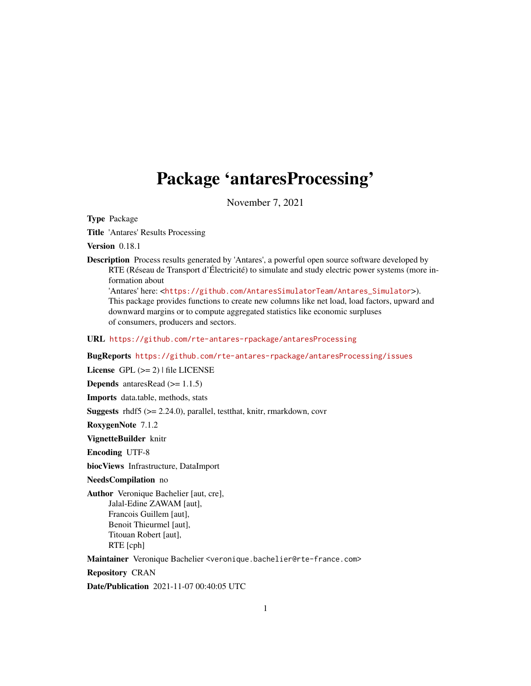## <span id="page-0-0"></span>Package 'antaresProcessing'

November 7, 2021

Type Package

Title 'Antares' Results Processing

Version 0.18.1

Description Process results generated by 'Antares', a powerful open source software developed by RTE (Réseau de Transport d'Électricité) to simulate and study electric power systems (more information about

'Antares' here: <[https://github.com/AntaresSimulatorTeam/Antares\\_Simulator](https://github.com/AntaresSimulatorTeam/Antares_Simulator)>). This package provides functions to create new columns like net load, load factors, upward and downward margins or to compute aggregated statistics like economic surpluses of consumers, producers and sectors.

URL <https://github.com/rte-antares-rpackage/antaresProcessing>

BugReports <https://github.com/rte-antares-rpackage/antaresProcessing/issues>

License GPL  $(>= 2)$  | file LICENSE

**Depends** antaresRead  $(>= 1.1.5)$ 

Imports data.table, methods, stats

Suggests rhdf5 (>= 2.24.0), parallel, testthat, knitr, rmarkdown, covr

RoxygenNote 7.1.2

VignetteBuilder knitr

Encoding UTF-8

biocViews Infrastructure, DataImport

NeedsCompilation no

Author Veronique Bachelier [aut, cre], Jalal-Edine ZAWAM [aut], Francois Guillem [aut], Benoit Thieurmel [aut], Titouan Robert [aut], RTE [cph]

Maintainer Veronique Bachelier <veronique.bachelier@rte-france.com>

Repository CRAN

Date/Publication 2021-11-07 00:40:05 UTC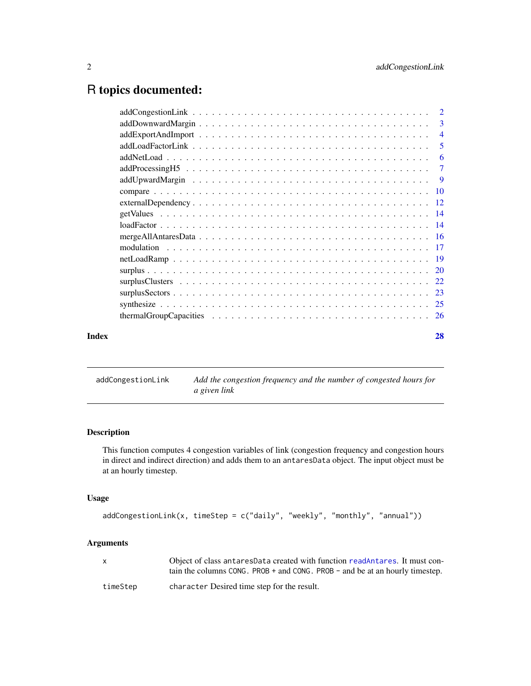## <span id="page-1-0"></span>R topics documented:

|       | $\overline{3}$ |
|-------|----------------|
|       | $\overline{4}$ |
|       | 5              |
|       | -6             |
|       | $\overline{7}$ |
|       |                |
|       |                |
|       |                |
|       |                |
|       |                |
|       |                |
|       |                |
|       |                |
|       |                |
|       |                |
|       |                |
|       |                |
|       |                |
| Index | 28             |

addCongestionLink *Add the congestion frequency and the number of congested hours for a given link*

## Description

This function computes 4 congestion variables of link (congestion frequency and congestion hours in direct and indirect direction) and adds them to an antaresData object. The input object must be at an hourly timestep.

## Usage

```
addCongestionLink(x, timeStep = c("daily", "weekly", "monthly", "annual"))
```
## Arguments

| X        | Object of class antaresData created with function readAntares. It must con-<br>tain the columns CONG. PROB $+$ and CONG. PROB $-$ and be at an hourly timestep. |
|----------|-----------------------------------------------------------------------------------------------------------------------------------------------------------------|
| timeStep | character Desired time step for the result.                                                                                                                     |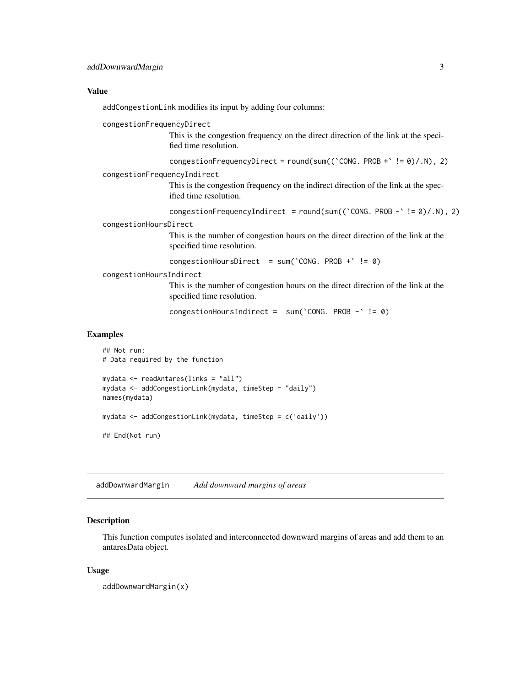#### <span id="page-2-0"></span>Value

addCongestionLink modifies its input by adding four columns:

congestionFrequencyDirect

This is the congestion frequency on the direct direction of the link at the specified time resolution.

```
congestionFrequencyDirect = round(sum((CONG. PROB + C = 0)/.N), 2)
```
congestionFrequencyIndirect

This is the congestion frequency on the indirect direction of the link at the specified time resolution.

```
congestionFrequencyIndirect = round(sum((CONG. PROB - C = 0)/.N), 2)
```
congestionHoursDirect

This is the number of congestion hours on the direct direction of the link at the specified time resolution.

congestionHoursDirect =  $sum('CONG. PROB + ' != 0)$ 

congestionHoursIndirect

This is the number of congestion hours on the direct direction of the link at the specified time resolution.

congestionHoursIndirect = sum(`CONG. PROB -` != 0)

## Examples

```
## Not run:
# Data required by the function
mydata <- readAntares(links = "all")
mydata <- addCongestionLink(mydata, timeStep = "daily")
names(mydata)
mydata <- addCongestionLink(mydata, timeStep = c('daily'))
## End(Not run)
```
<span id="page-2-1"></span>addDownwardMargin *Add downward margins of areas*

#### **Description**

This function computes isolated and interconnected downward margins of areas and add them to an antaresData object.

#### Usage

addDownwardMargin(x)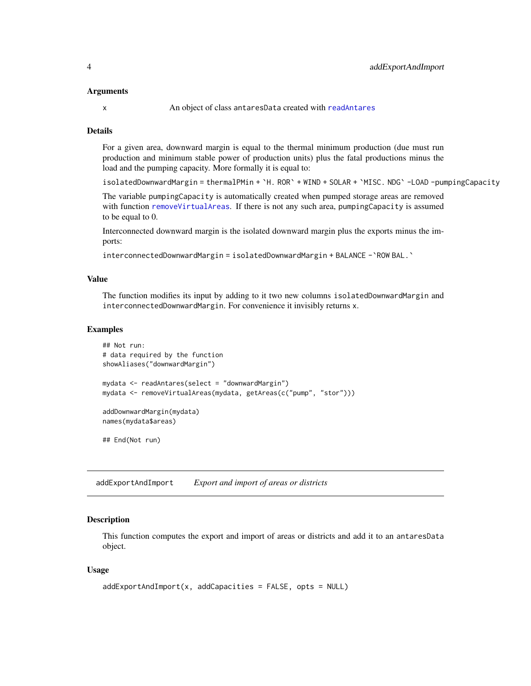#### <span id="page-3-0"></span>Arguments

#### Details

For a given area, downward margin is equal to the thermal minimum production (due must run production and minimum stable power of production units) plus the fatal productions minus the load and the pumping capacity. More formally it is equal to:

```
isolatedDownwardMargin = thermalPMin + `H. ROR` + WIND + SOLAR + `MISC. NDG` -LOAD -pumpingCapacity
```
The variable pumpingCapacity is automatically created when pumped storage areas are removed with function [removeVirtualAreas](#page-0-0). If there is not any such area, pumpingCapacity is assumed to be equal to 0.

Interconnected downward margin is the isolated downward margin plus the exports minus the imports:

interconnectedDownwardMargin = isolatedDownwardMargin + BALANCE -`ROW BAL.`

#### Value

The function modifies its input by adding to it two new columns isolatedDownwardMargin and interconnectedDownwardMargin. For convenience it invisibly returns x.

#### Examples

```
## Not run:
# data required by the function
showAliases("downwardMargin")
mydata <- readAntares(select = "downwardMargin")
mydata <- removeVirtualAreas(mydata, getAreas(c("pump", "stor")))
addDownwardMargin(mydata)
names(mydata$areas)
## End(Not run)
```
<span id="page-3-1"></span>addExportAndImport *Export and import of areas or districts*

## **Description**

This function computes the export and import of areas or districts and add it to an antaresData object.

#### Usage

```
addExportAndImport(x, addCapacities = FALSE, opts = NULL)
```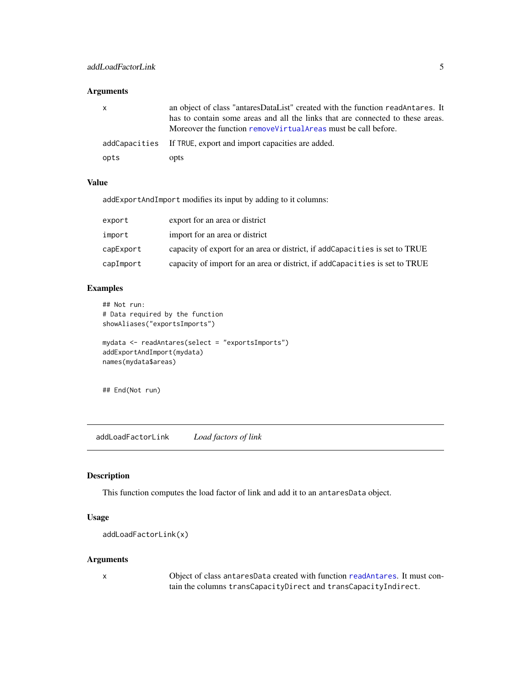## <span id="page-4-0"></span>Arguments

| x    | an object of class "antaresDataList" created with the function readAntares. It<br>has to contain some areas and all the links that are connected to these areas.<br>Moreover the function remove Virtual Areas must be call before. |
|------|-------------------------------------------------------------------------------------------------------------------------------------------------------------------------------------------------------------------------------------|
|      | addCapacities If TRUE, export and import capacities are added.                                                                                                                                                                      |
| opts | opts                                                                                                                                                                                                                                |

#### Value

addExportAndImport modifies its input by adding to it columns:

| export    | export for an area or district                                               |
|-----------|------------------------------------------------------------------------------|
| import    | import for an area or district                                               |
| capExport | capacity of export for an area or district, if add Capacities is set to TRUE |
| capImport | capacity of import for an area or district, if addCapacities is set to TRUE  |

## Examples

```
## Not run:
# Data required by the function
showAliases("exportsImports")
mydata <- readAntares(select = "exportsImports")
addExportAndImport(mydata)
names(mydata$areas)
```
## End(Not run)

<span id="page-4-1"></span>addLoadFactorLink *Load factors of link*

## Description

This function computes the load factor of link and add it to an antaresData object.

## Usage

```
addLoadFactorLink(x)
```
#### Arguments

x Object of class antaresData created with function [readAntares](#page-0-0). It must contain the columns transCapacityDirect and transCapacityIndirect.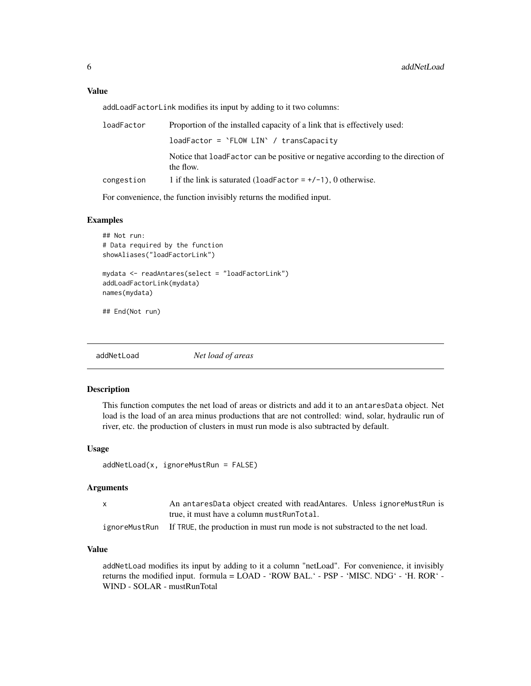<span id="page-5-0"></span>addLoadFactorLink modifies its input by adding to it two columns:

| loadFactor | Proportion of the installed capacity of a link that is effectively used:                       |
|------------|------------------------------------------------------------------------------------------------|
|            | $loadFactor = 'FLOW LIN' / transCapacity$                                                      |
|            | Notice that load Factor can be positive or negative according to the direction of<br>the flow. |
| congestion | 1 if the link is saturated (loadFactor = $+/-1$ ), 0 otherwise.                                |

For convenience, the function invisibly returns the modified input.

## Examples

```
## Not run:
# Data required by the function
showAliases("loadFactorLink")
mydata <- readAntares(select = "loadFactorLink")
addLoadFactorLink(mydata)
names(mydata)
## End(Not run)
```
<span id="page-5-1"></span>addNetLoad *Net load of areas*

#### Description

This function computes the net load of areas or districts and add it to an antaresData object. Net load is the load of an area minus productions that are not controlled: wind, solar, hydraulic run of river, etc. the production of clusters in must run mode is also subtracted by default.

## Usage

```
addNetLoad(x, ignoreMustRun = FALSE)
```
#### Arguments

| An antaresData object created with readAntares. Unless ignoreMustRun is                     |
|---------------------------------------------------------------------------------------------|
| true, it must have a column must Run Total.                                                 |
| ignoremust Run If TRUE, the production in must run mode is not substracted to the net load. |

## Value

addNetLoad modifies its input by adding to it a column "netLoad". For convenience, it invisibly returns the modified input. formula = LOAD - 'ROW BAL.' - PSP - 'MISC. NDG' - 'H. ROR' - WIND - SOLAR - mustRunTotal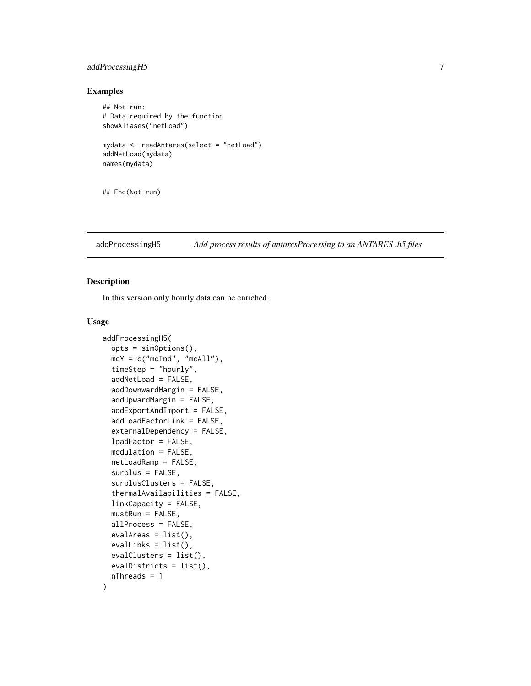## <span id="page-6-0"></span>addProcessingH5 7

## Examples

```
## Not run:
# Data required by the function
showAliases("netLoad")
mydata <- readAntares(select = "netLoad")
addNetLoad(mydata)
names(mydata)
```
## End(Not run)

addProcessingH5 *Add process results of antaresProcessing to an ANTARES .h5 files*

## Description

In this version only hourly data can be enriched.

#### Usage

```
addProcessingH5(
  opts = simOptions(),
  mcY = c("mcInd", "mcAll"),timeStep = "hourly",
  addNetLoad = FALSE,
  addDownwardMargin = FALSE,
  addUpwardMargin = FALSE,
  addExportAndImport = FALSE,
  addLoadFactorLink = FALSE,
  externalDependency = FALSE,
  loadFactor = FALSE,
  modulation = FALSE,
  netLoadRamp = FALSE,
  surplus = FALSE,
  surplusClusters = FALSE,
  thermalAvailabilities = FALSE,
  linkCapacity = FALSE,
  mustRun = FALSE,allProcess = FALSE,
  evalAreas = list(),
  evallinks = list(),
  evalClusters = list(),
  evalDistricts = list(),
  nThreads = 1
)
```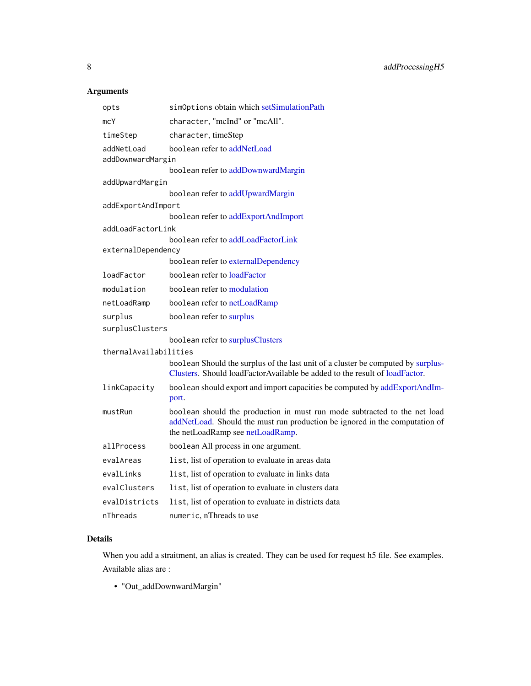## <span id="page-7-0"></span>Arguments

| opts                            | simOptions obtain which setSimulationPath                                                                                                                                                    |
|---------------------------------|----------------------------------------------------------------------------------------------------------------------------------------------------------------------------------------------|
| mcY                             | character, "mcInd" or "mcAll".                                                                                                                                                               |
| timeStep                        | character, timeStep                                                                                                                                                                          |
| addNetLoad<br>addDownwardMargin | boolean refer to addNetLoad                                                                                                                                                                  |
|                                 | boolean refer to addDownwardMargin                                                                                                                                                           |
| addUpwardMargin                 |                                                                                                                                                                                              |
|                                 | boolean refer to addUpwardMargin                                                                                                                                                             |
| addExportAndImport              |                                                                                                                                                                                              |
|                                 | boolean refer to addExportAndImport                                                                                                                                                          |
| addLoadFactorLink               | boolean refer to addLoadFactorLink                                                                                                                                                           |
| externalDependency              |                                                                                                                                                                                              |
|                                 | boolean refer to externalDependency                                                                                                                                                          |
| loadFactor                      | boolean refer to loadFactor                                                                                                                                                                  |
| modulation                      | boolean refer to modulation                                                                                                                                                                  |
| netLoadRamp                     | boolean refer to netLoadRamp                                                                                                                                                                 |
| surplus                         | boolean refer to surplus                                                                                                                                                                     |
| surplusClusters                 |                                                                                                                                                                                              |
|                                 | boolean refer to surplusClusters                                                                                                                                                             |
| thermalAvailabilities           |                                                                                                                                                                                              |
|                                 | boolean Should the surplus of the last unit of a cluster be computed by surplus-<br>Clusters. Should loadFactorAvailable be added to the result of loadFactor.                               |
| linkCapacity                    | boolean should export and import capacities be computed by addExportAndIm-<br>port.                                                                                                          |
| mustRun                         | boolean should the production in must run mode subtracted to the net load<br>addNetLoad. Should the must run production be ignored in the computation of<br>the netLoadRamp see netLoadRamp. |
| allProcess                      | boolean All process in one argument.                                                                                                                                                         |
| evalAreas                       | list, list of operation to evaluate in areas data                                                                                                                                            |
| evalLinks                       | list, list of operation to evaluate in links data                                                                                                                                            |
| evalClusters                    | list, list of operation to evaluate in clusters data                                                                                                                                         |
| evalDistricts                   | list, list of operation to evaluate in districts data                                                                                                                                        |
| nThreads                        | numeric, nThreads to use                                                                                                                                                                     |

## Details

When you add a straitment, an alias is created. They can be used for request h5 file. See examples. Available alias are :

• "Out\_addDownwardMargin"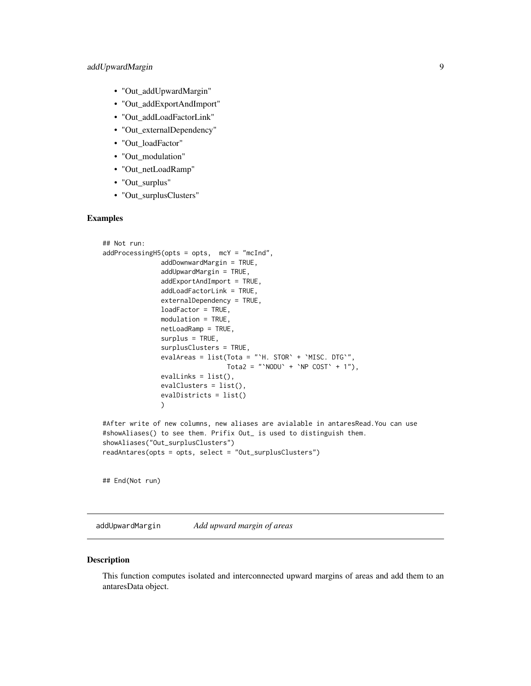- <span id="page-8-0"></span>• "Out\_addUpwardMargin"
- "Out\_addExportAndImport"
- "Out\_addLoadFactorLink"
- "Out\_externalDependency"
- "Out\_loadFactor"
- "Out\_modulation"
- "Out\_netLoadRamp"
- "Out\_surplus"
- "Out\_surplusClusters"

## Examples

```
## Not run:
addProcessingH5(opts = opts, mcY = "mcInd",
               addDownwardMargin = TRUE,
               addUpwardMargin = TRUE,
               addExportAndImport = TRUE,
               addLoadFactorLink = TRUE,
               externalDependency = TRUE,
              loadFactor = TRUE,
              modulation = TRUE,
              netLoadRamp = TRUE,
               surplus = TRUE,
               surplusClusters = TRUE,
               evalAreas = list(Tota = "`H. STOR` + `MISC. DTG`",
                                Tota2 = "NODU' + NPP COST' + 1",
               evallinks = list(),
               evalClusters = list(),
               evalDistricts = list()
               )
#After write of new columns, new aliases are avialable in antaresRead.You can use
#showAliases() to see them. Prifix Out_ is used to distinguish them.
showAliases("Out_surplusClusters")
readAntares(opts = opts, select = "Out_surplusClusters")
```
## End(Not run)

<span id="page-8-1"></span>addUpwardMargin *Add upward margin of areas*

#### Description

This function computes isolated and interconnected upward margins of areas and add them to an antaresData object.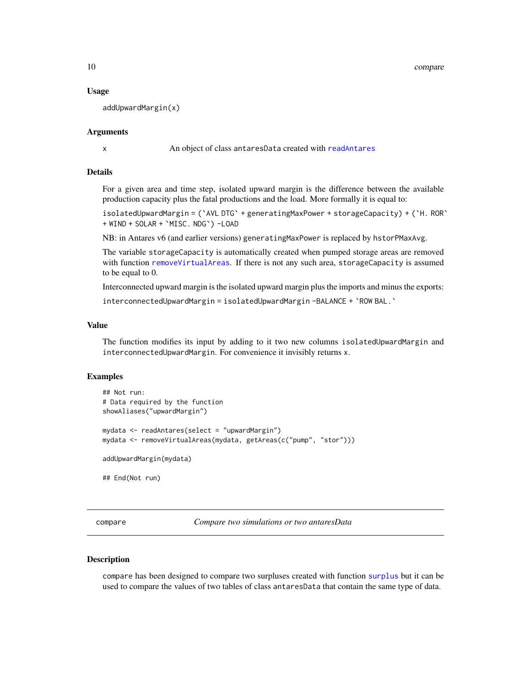<span id="page-9-0"></span>10 compare

#### Usage

addUpwardMargin(x)

#### Arguments

x An object of class antaresData created with [readAntares](#page-0-0)

## Details

For a given area and time step, isolated upward margin is the difference between the available production capacity plus the fatal productions and the load. More formally it is equal to:

isolatedUpwardMargin = (`AVL DTG` + generatingMaxPower + storageCapacity) + (`H. ROR` + WIND + SOLAR + `MISC. NDG`) -LOAD

NB: in Antares v6 (and earlier versions) generatingMaxPower is replaced by hstorPMaxAvg.

The variable storageCapacity is automatically created when pumped storage areas are removed with function [removeVirtualAreas](#page-0-0). If there is not any such area, storageCapacity is assumed to be equal to 0.

Interconnected upward margin is the isolated upward margin plus the imports and minus the exports:

interconnectedUpwardMargin = isolatedUpwardMargin -BALANCE + `ROW BAL.`

#### Value

The function modifies its input by adding to it two new columns isolatedUpwardMargin and interconnectedUpwardMargin. For convenience it invisibly returns x.

#### Examples

```
## Not run:
# Data required by the function
showAliases("upwardMargin")
mydata <- readAntares(select = "upwardMargin")
mydata <- removeVirtualAreas(mydata, getAreas(c("pump", "stor")))
addUpwardMargin(mydata)
## End(Not run)
```
compare *Compare two simulations or two antaresData*

#### Description

compare has been designed to compare two surpluses created with function [surplus](#page-19-1) but it can be used to compare the values of two tables of class antaresData that contain the same type of data.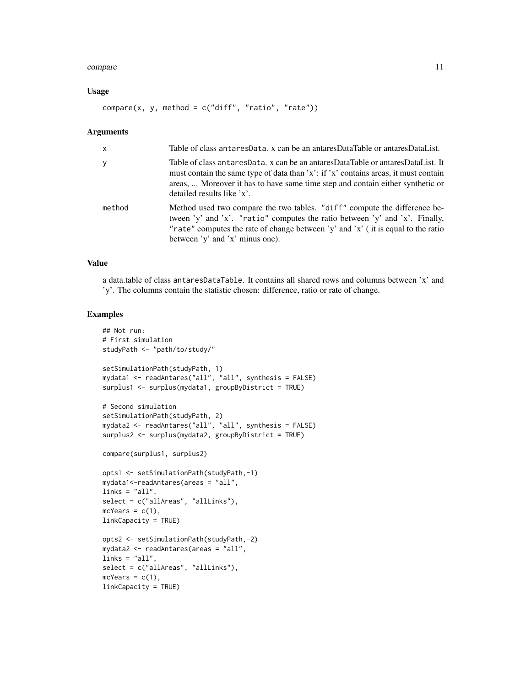#### compare the compare that the compare is the compare of the compare in the compare in the compare in the compare in the compare in the compare in the compare in the compare in the compare in the compare in the compare in th

#### Usage

 $compare(x, y, method = c("diff", "ratio", "rate"))$ 

#### Arguments

| $\mathsf{x}$ | Table of class antares Data, x can be an antares Data Table or antares Data List.                                                                                                                                                                                                      |
|--------------|----------------------------------------------------------------------------------------------------------------------------------------------------------------------------------------------------------------------------------------------------------------------------------------|
| $\mathbf{y}$ | Table of class antaresData. x can be an antaresDataTable or antaresDataList. It<br>must contain the same type of data than 'x': if 'x' contains areas, it must contain<br>areas,  Moreover it has to have same time step and contain either synthetic or<br>detailed results like 'x'. |
| method       | Method used two compare the two tables. "diff" compute the difference be-<br>tween 'y' and 'x'. "ratio" computes the ratio between 'y' and 'x'. Finally,<br>"rate" computes the rate of change between 'y' and 'x' (it is equal to the ratio<br>between 'y' and 'x' minus one).        |

## Value

a data.table of class antaresDataTable. It contains all shared rows and columns between 'x' and 'y'. The columns contain the statistic chosen: difference, ratio or rate of change.

## Examples

```
## Not run:
# First simulation
studyPath <- "path/to/study/"
setSimulationPath(studyPath, 1)
mydata1 <- readAntares("all", "all", synthesis = FALSE)
surplus1 <- surplus(mydata1, groupByDistrict = TRUE)
# Second simulation
setSimulationPath(studyPath, 2)
mydata2 <- readAntares("all", "all", synthesis = FALSE)
surplus2 <- surplus(mydata2, groupByDistrict = TRUE)
compare(surplus1, surplus2)
opts1 <- setSimulationPath(studyPath,-1)
mydata1<-readAntares(areas = "all",
links = "all",select = c("allAreas", "allLinks"),
mcYears = c(1),linkCapacity = TRUE)
opts2 <- setSimulationPath(studyPath,-2)
mydata2 <- readAntares(areas = "all",
links = "all",select = c("allAreas", "allLinks"),
mcYears = c(1),
linkCapacity = TRUE)
```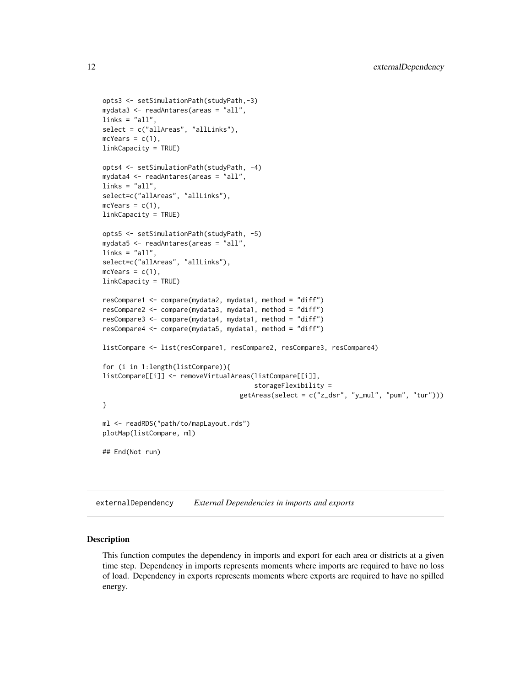```
opts3 <- setSimulationPath(studyPath,-3)
mydata3 <- readAntares(areas = "all",
links = "all",select = c("allAreas", "allLinks"),
mcYears = c(1),
linkCapacity = TRUE)
opts4 <- setSimulationPath(studyPath, -4)
mydata4 <- readAntares(areas = "all",
links = "all",select=c("allAreas", "allLinks"),
mcYears = c(1),linkCapacity = TRUE)
opts5 <- setSimulationPath(studyPath, -5)
mydata5 <- readAntares(areas = "all",
links = "all",select=c("allAreas", "allLinks"),
mcYears = c(1),linkCapacity = TRUE)
resCompare1 <- compare(mydata2, mydata1, method = "diff")
resCompare2 <- compare(mydata3, mydata1, method = "diff")
resCompare3 <- compare(mydata4, mydata1, method = "diff")
resCompare4 <- compare(mydata5, mydata1, method = "diff")
listCompare <- list(resCompare1, resCompare2, resCompare3, resCompare4)
for (i in 1:length(listCompare)){
listCompare[[i]] <- removeVirtualAreas(listCompare[[i]],
                                       storageFlexibility =
                                   getAreas(select = c("z_dsr", "y_mul", "pum", "tur")))
}
ml <- readRDS("path/to/mapLayout.rds")
plotMap(listCompare, ml)
## End(Not run)
```
<span id="page-11-1"></span>externalDependency *External Dependencies in imports and exports*

#### Description

This function computes the dependency in imports and export for each area or districts at a given time step. Dependency in imports represents moments where imports are required to have no loss of load. Dependency in exports represents moments where exports are required to have no spilled energy.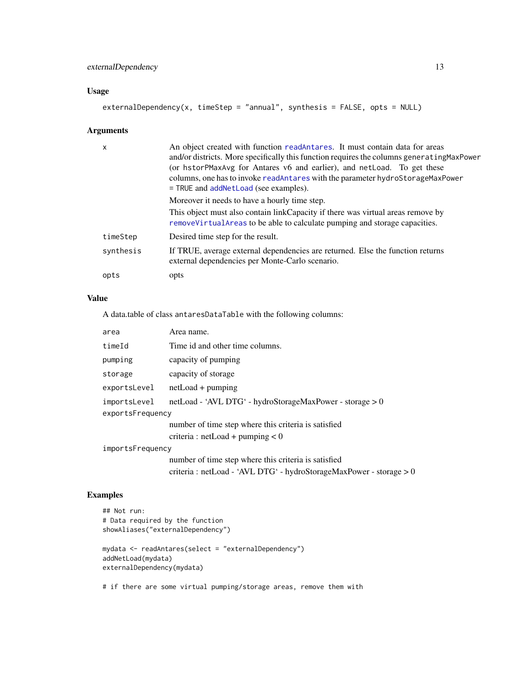## <span id="page-12-0"></span>externalDependency 13

## Usage

```
externalDependency(x, timeStep = "annual", synthesis = FALSE, opts = NULL)
```
## Arguments

| $\mathsf{x}$ | An object created with function readantares. It must contain data for areas<br>and/or districts. More specifically this function requires the columns generating MaxPower<br>(or hstorPMaxAvg for Antares v6 and earlier), and netLoad. To get these<br>columns, one has to invoke readAntares with the parameter hydroStorageMaxPower<br>$=$ TRUE and addNetLoad (see examples). |
|--------------|-----------------------------------------------------------------------------------------------------------------------------------------------------------------------------------------------------------------------------------------------------------------------------------------------------------------------------------------------------------------------------------|
|              | Moreover it needs to have a hourly time step.                                                                                                                                                                                                                                                                                                                                     |
|              | This object must also contain link Capacity if there was virtual areas remove by<br>remove Virtual Areas to be able to calculate pumping and storage capacities.                                                                                                                                                                                                                  |
| timeStep     | Desired time step for the result.                                                                                                                                                                                                                                                                                                                                                 |
| synthesis    | If TRUE, average external dependencies are returned. Else the function returns<br>external dependencies per Monte-Carlo scenario.                                                                                                                                                                                                                                                 |
| opts         | opts                                                                                                                                                                                                                                                                                                                                                                              |

## Value

A data.table of class antaresDataTable with the following columns:

| area             | Area name.                                                            |
|------------------|-----------------------------------------------------------------------|
| timeId           | Time id and other time columns.                                       |
| pumping          | capacity of pumping                                                   |
| storage          | capacity of storage                                                   |
| exportsLevel     | $netLoad + pumping$                                                   |
| importsLevel     | netLoad - 'AVL DTG' - hydroStorageMaxPower - storage > 0              |
| exportsFrequency |                                                                       |
|                  | number of time step where this criteria is satisfied                  |
|                  | criteria : $netLoad + pumping < 0$                                    |
| importsFrequency |                                                                       |
|                  | number of time step where this criteria is satisfied                  |
|                  | criteria : netLoad - 'AVL DTG' - hydroStorageMaxPower - storage $> 0$ |

## Examples

```
## Not run:
# Data required by the function
showAliases("externalDependency")
mydata <- readAntares(select = "externalDependency")
addNetLoad(mydata)
externalDependency(mydata)
```
# if there are some virtual pumping/storage areas, remove them with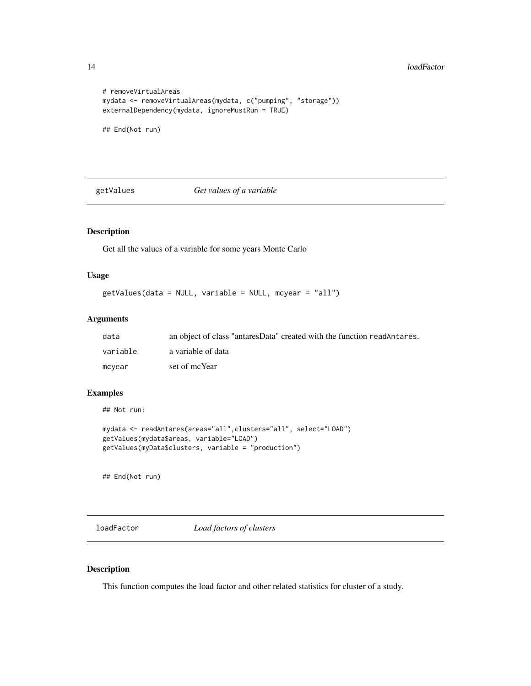#### 14 loadFactor and the state of the state of the state of the state of the state of the state of the state of the state of the state of the state of the state of the state of the state of the state of the state of the state

```
# removeVirtualAreas
mydata <- removeVirtualAreas(mydata, c("pumping", "storage"))
externalDependency(mydata, ignoreMustRun = TRUE)
## End(Not run)
```
getValues *Get values of a variable*

## Description

Get all the values of a variable for some years Monte Carlo

#### Usage

getValues(data = NULL, variable = NULL, mcyear = "all")

## Arguments

| data     | an object of class "antares Data" created with the function readantares. |
|----------|--------------------------------------------------------------------------|
| variable | a variable of data                                                       |
| mcyear   | set of mcYear                                                            |

## Examples

## Not run:

```
mydata <- readAntares(areas="all",clusters="all", select="LOAD")
getValues(mydata$areas, variable="LOAD")
getValues(myData$clusters, variable = "production")
```
## End(Not run)

<span id="page-13-1"></span>loadFactor *Load factors of clusters*

#### Description

This function computes the load factor and other related statistics for cluster of a study.

<span id="page-13-0"></span>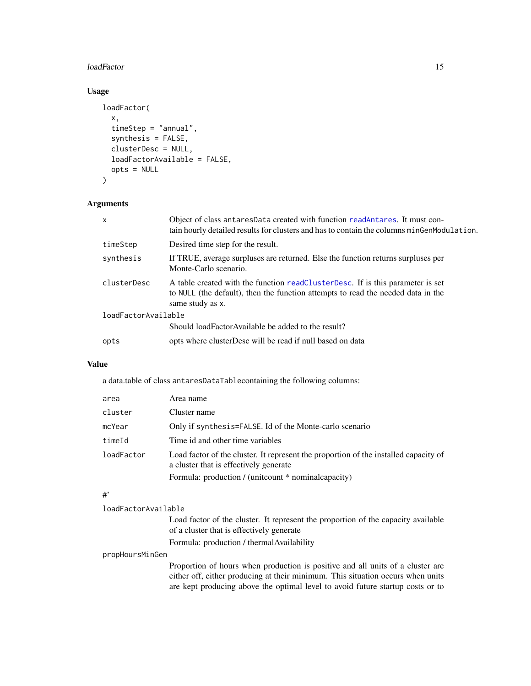#### <span id="page-14-0"></span>loadFactor 15

## Usage

```
loadFactor(
  x,
  timeStep = "annual",
  synthesis = FALSE,
  clusterDesc = NULL,
  loadFactorAvailable = FALSE,
  opts = NULL
)
```
## Arguments

| $\mathsf{x}$        | Object of class antaresData created with function readAntares. It must con-<br>tain hourly detailed results for clusters and has to contain the columns minGenModulation.              |
|---------------------|----------------------------------------------------------------------------------------------------------------------------------------------------------------------------------------|
| timeStep            | Desired time step for the result.                                                                                                                                                      |
| synthesis           | If TRUE, average surpluses are returned. Else the function returns surpluses per<br>Monte-Carlo scenario.                                                                              |
| clusterDesc         | A table created with the function readClusterDesc. If is this parameter is set<br>to NULL (the default), then the function attempts to read the needed data in the<br>same study as x. |
| loadFactorAvailable |                                                                                                                                                                                        |
|                     | Should loadFactorAvailable be added to the result?                                                                                                                                     |
| opts                | opts where cluster Desc will be read if null based on data                                                                                                                             |

## Value

a data.table of class antaresDataTablecontaining the following columns:

| area       | Area name                                                                                                                      |
|------------|--------------------------------------------------------------------------------------------------------------------------------|
| cluster    | Cluster name                                                                                                                   |
| mcYear     | Only if synthesis=FALSE. Id of the Monte-carlo scenario                                                                        |
| timeId     | Time id and other time variables                                                                                               |
| loadFactor | Load factor of the cluster. It represent the proportion of the installed capacity of<br>a cluster that is effectively generate |
|            | Formula: production / (unitcount * nominal capacity)                                                                           |

#### #'

| loadFactorAvailable |                                                                                                                                |
|---------------------|--------------------------------------------------------------------------------------------------------------------------------|
|                     | Load factor of the cluster. It represent the proportion of the capacity available<br>of a cluster that is effectively generate |
|                     | Formula: production / thermal Availability                                                                                     |
| propHoursMinGen     |                                                                                                                                |
|                     | Proportion of hours when production is positive and all units of a cluster are                                                 |

either off, either producing at their minimum. This situation occurs when units are kept producing above the optimal level to avoid future startup costs or to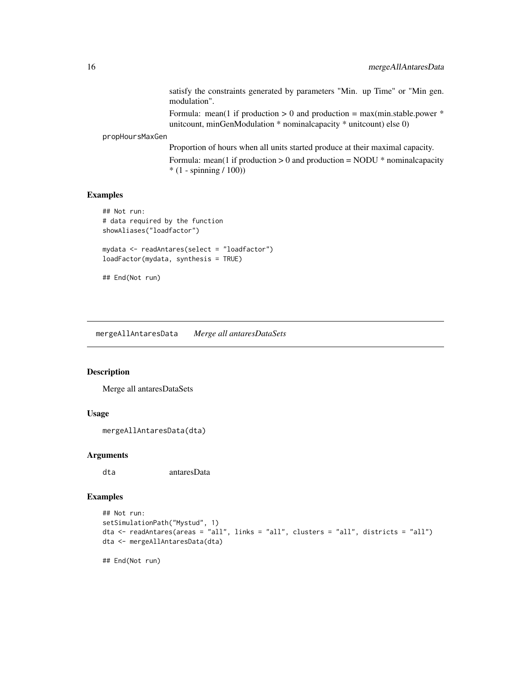satisfy the constraints generated by parameters "Min. up Time" or "Min gen. modulation".

Formula: mean(1 if production  $> 0$  and production = max(min.stable.power  $*$ unitcount, minGenModulation \* nominalcapacity \* unitcount) else 0)

<span id="page-15-0"></span>propHoursMaxGen

Proportion of hours when all units started produce at their maximal capacity. Formula: mean(1 if production  $> 0$  and production = NODU  $*$  nominal capacity \* (1 - spinning / 100))

## Examples

```
## Not run:
# data required by the function
showAliases("loadfactor")
mydata <- readAntares(select = "loadfactor")
loadFactor(mydata, synthesis = TRUE)
## End(Not run)
```
mergeAllAntaresData *Merge all antaresDataSets*

## Description

Merge all antaresDataSets

#### Usage

mergeAllAntaresData(dta)

#### Arguments

dta antaresData

#### Examples

```
## Not run:
setSimulationPath("Mystud", 1)
dta <- readAntares(areas = "all", links = "all", clusters = "all", districts = "all")
dta <- mergeAllAntaresData(dta)
```
## End(Not run)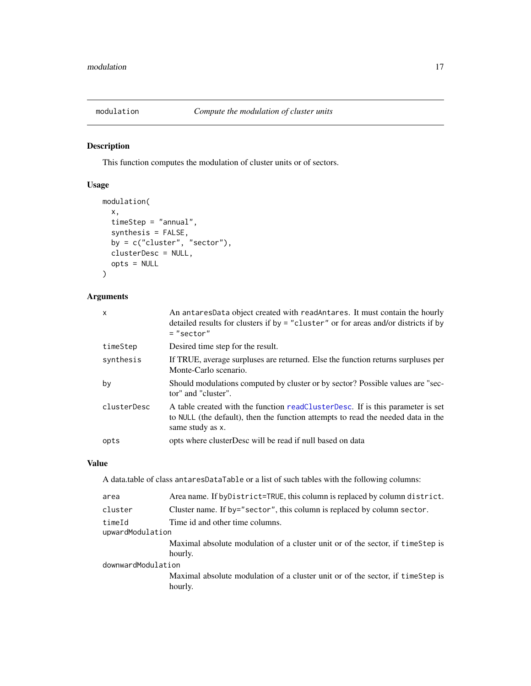<span id="page-16-1"></span><span id="page-16-0"></span>

## Description

This function computes the modulation of cluster units or of sectors.

## Usage

```
modulation(
  x,
  timeStep = "annual",
  synthesis = FALSE,
 by = c("cluster", "sector"),clusterDesc = NULL,
 opts = NULL
)
```
## Arguments

| x           | An antaresData object created with readAntares. It must contain the hourly<br>detailed results for clusters if by = "cluster" or for areas and/or districts if by<br>$=$ "sector"      |
|-------------|----------------------------------------------------------------------------------------------------------------------------------------------------------------------------------------|
| timeStep    | Desired time step for the result.                                                                                                                                                      |
| synthesis   | If TRUE, average surpluses are returned. Else the function returns surpluses per<br>Monte-Carlo scenario.                                                                              |
| bv          | Should modulations computed by cluster or by sector? Possible values are "sec-<br>tor" and "cluster".                                                                                  |
| clusterDesc | A table created with the function readClusterDesc. If is this parameter is set<br>to NULL (the default), then the function attempts to read the needed data in the<br>same study as x. |
| opts        | opts where clusterDesc will be read if null based on data                                                                                                                              |

## Value

A data.table of class antaresDataTable or a list of such tables with the following columns:

| cluster<br>Cluster name. If by="sector", this column is replaced by column sector.<br>timeId<br>Time id and other time columns.<br>upwardModulation<br>hourly.<br>downwardModulation | area | Area name. If by District=TRUE, this column is replaced by column district.               |  |
|--------------------------------------------------------------------------------------------------------------------------------------------------------------------------------------|------|-------------------------------------------------------------------------------------------|--|
|                                                                                                                                                                                      |      |                                                                                           |  |
|                                                                                                                                                                                      |      |                                                                                           |  |
|                                                                                                                                                                                      |      | Maximal absolute modulation of a cluster unit or of the sector, if timestep is            |  |
|                                                                                                                                                                                      |      |                                                                                           |  |
|                                                                                                                                                                                      |      | Maximal absolute modulation of a cluster unit or of the sector, if timestep is<br>hourly. |  |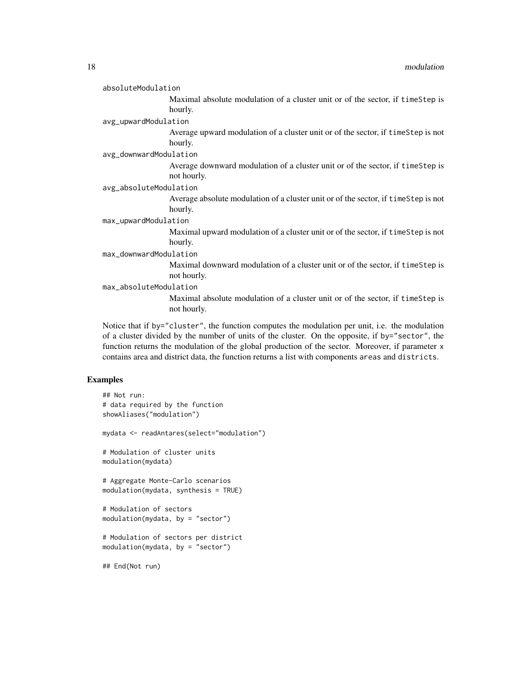|                        | absoluteModulation                                                                             |
|------------------------|------------------------------------------------------------------------------------------------|
|                        | Maximal absolute modulation of a cluster unit or of the sector, if timestep is                 |
|                        | hourly.                                                                                        |
|                        | avg_upwardModulation                                                                           |
|                        | Average upward modulation of a cluster unit or of the sector, if timestep is not<br>hourly.    |
|                        | avg_downwardModulation                                                                         |
|                        | Average downward modulation of a cluster unit or of the sector, if timestep is<br>not hourly.  |
| avg_absoluteModulation |                                                                                                |
|                        | Average absolute modulation of a cluster unit or of the sector, if timeStep is not<br>hourly.  |
|                        | max_upwardModulation                                                                           |
|                        | Maximal upward modulation of a cluster unit or of the sector, if timeStep is not<br>hourly.    |
|                        | max_downwardModulation                                                                         |
|                        | Maximal downward modulation of a cluster unit or of the sector, if time Step is<br>not hourly. |
|                        | max_absoluteModulation                                                                         |
|                        | Maximal absolute modulation of a cluster unit or of the sector, if timestep is<br>not hourly.  |

Notice that if by="cluster", the function computes the modulation per unit, i.e. the modulation of a cluster divided by the number of units of the cluster. On the opposite, if by="sector", the function returns the modulation of the global production of the sector. Moreover, if parameter x contains area and district data, the function returns a list with components areas and districts.

#### Examples

```
## Not run:
# data required by the function
showAliases("modulation")
mydata <- readAntares(select="modulation")
# Modulation of cluster units
modulation(mydata)
# Aggregate Monte-Carlo scenarios
modulation(mydata, synthesis = TRUE)
# Modulation of sectors
modulation(mydata, by = "sector")
# Modulation of sectors per district
modulation(mydata, by = "sector")
## End(Not run)
```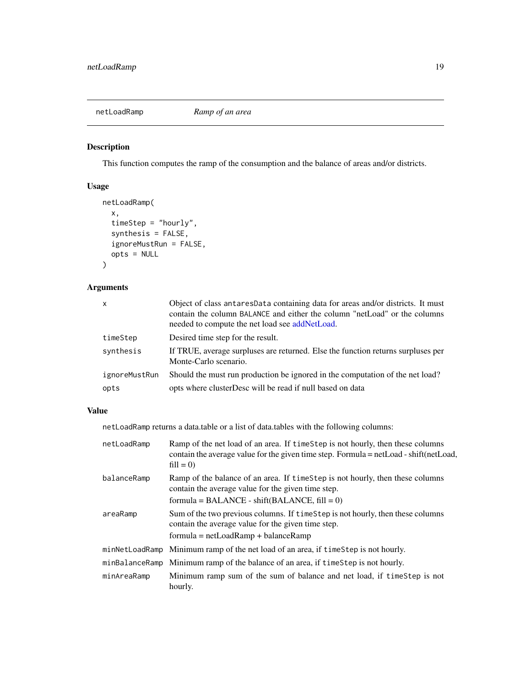<span id="page-18-1"></span><span id="page-18-0"></span>

## Description

This function computes the ramp of the consumption and the balance of areas and/or districts.

## Usage

```
netLoadRamp(
  x,
  timeStep = "hourly",
  synthesis = FALSE,
  ignoreMustRun = FALSE,
  opts = NULL
\mathcal{L}
```
## Arguments

| X             | Object of class antares Data containing data for areas and/or districts. It must<br>contain the column BALANCE and either the column "netLoad" or the columns<br>needed to compute the net load see addNetLoad. |
|---------------|-----------------------------------------------------------------------------------------------------------------------------------------------------------------------------------------------------------------|
| timeStep      | Desired time step for the result.                                                                                                                                                                               |
| synthesis     | If TRUE, average surpluses are returned. Else the function returns surpluses per<br>Monte-Carlo scenario.                                                                                                       |
| ignoreMustRun | Should the must run production be ignored in the computation of the net load?                                                                                                                                   |
| opts          | opts where clusterDesc will be read if null based on data                                                                                                                                                       |

## Value

netLoadRamp returns a data.table or a list of data.tables with the following columns:

| netLoadRamp | Ramp of the net load of an area. If time Step is not hourly, then these columns<br>contain the average value for the given time step. Formula = netLoad - shift (netLoad,<br>$fill = 0$ ) |
|-------------|-------------------------------------------------------------------------------------------------------------------------------------------------------------------------------------------|
| balanceRamp | Ramp of the balance of an area. If timestep is not hourly, then these columns<br>contain the average value for the given time step.                                                       |
|             | $formula = BALANCE - shift(BALANCE, fill = 0)$                                                                                                                                            |
| areaRamp    | Sum of the two previous columns. If time Step is not hourly, then these columns<br>contain the average value for the given time step.                                                     |
|             | $formula = netLoadRamp + balanceRamp$                                                                                                                                                     |
|             | minNetLoadRamp Minimum ramp of the net load of an area, if timeStep is not hourly.                                                                                                        |
|             | minBalanceRamp Minimum ramp of the balance of an area, if timeStep is not hourly.                                                                                                         |
| minAreaRamp | Minimum ramp sum of the sum of balance and net load, if time Step is not<br>hourly.                                                                                                       |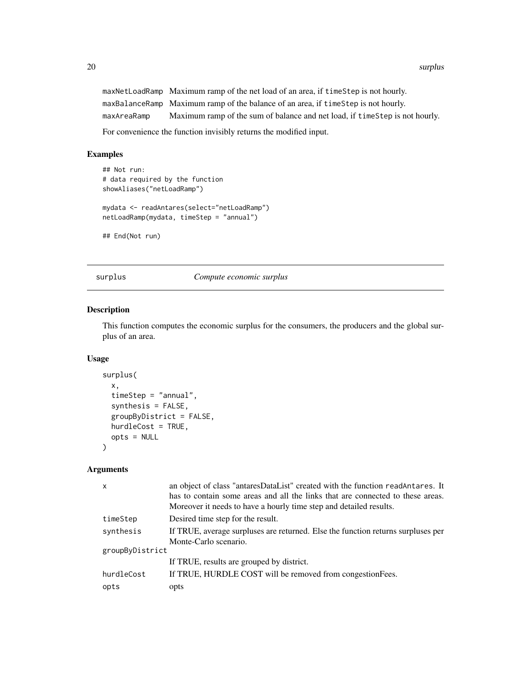<span id="page-19-0"></span>20 surplus

maxNetLoadRamp Maximum ramp of the net load of an area, if timeStep is not hourly. maxBalanceRamp Maximum ramp of the balance of an area, if timeStep is not hourly. maxAreaRamp Maximum ramp of the sum of balance and net load, if timeStep is not hourly.

For convenience the function invisibly returns the modified input.

#### Examples

```
## Not run:
# data required by the function
showAliases("netLoadRamp")
mydata <- readAntares(select="netLoadRamp")
netLoadRamp(mydata, timeStep = "annual")
## End(Not run)
```
<span id="page-19-1"></span>surplus *Compute economic surplus*

## Description

This function computes the economic surplus for the consumers, the producers and the global surplus of an area.

#### Usage

```
surplus(
  x,
  timeStep = "annual",
  synthesis = FALSE,
  groupByDistrict = FALSE,
 hurdleCost = TRUE,
  opts = NULL
)
```
#### Arguments

| X               | an object of class "antaresDataList" created with the function readAntares. It   |
|-----------------|----------------------------------------------------------------------------------|
|                 | has to contain some areas and all the links that are connected to these areas.   |
|                 | Moreover it needs to have a hourly time step and detailed results.               |
| timeStep        | Desired time step for the result.                                                |
| synthesis       | If TRUE, average surpluses are returned. Else the function returns surpluses per |
|                 | Monte-Carlo scenario.                                                            |
| groupByDistrict |                                                                                  |
|                 | If TRUE, results are grouped by district.                                        |
| hurdleCost      | If TRUE, HURDLE COST will be removed from congestionFees.                        |
| opts            | opts                                                                             |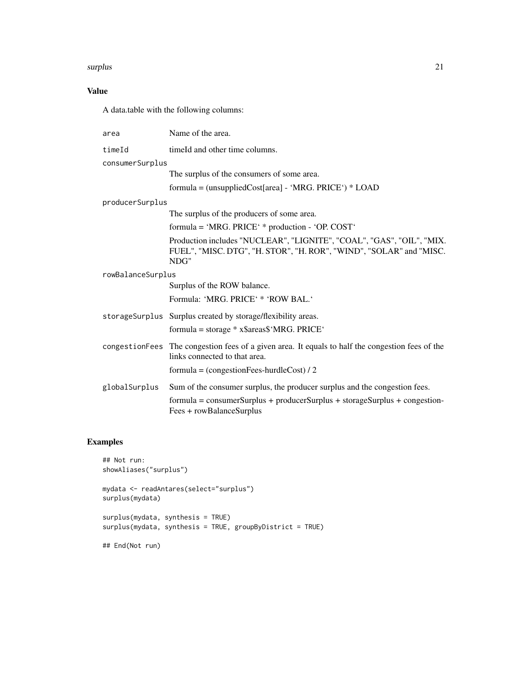#### surplus 21

## Value

A data.table with the following columns:

| area              | Name of the area.                                                                                                                                    |
|-------------------|------------------------------------------------------------------------------------------------------------------------------------------------------|
| timeId            | timeld and other time columns.                                                                                                                       |
| consumerSurplus   |                                                                                                                                                      |
|                   | The surplus of the consumers of some area.                                                                                                           |
|                   | formula = (unsuppliedCost[area] - 'MRG. PRICE') * LOAD                                                                                               |
| producerSurplus   |                                                                                                                                                      |
|                   | The surplus of the producers of some area.                                                                                                           |
|                   | formula = 'MRG. PRICE' * production - 'OP. COST'                                                                                                     |
|                   | Production includes "NUCLEAR", "LIGNITE", "COAL", "GAS", "OIL", "MIX.<br>FUEL", "MISC. DTG", "H. STOR", "H. ROR", "WIND", "SOLAR" and "MISC.<br>NDG" |
| rowBalanceSurplus |                                                                                                                                                      |
|                   | Surplus of the ROW balance.                                                                                                                          |
|                   | Formula: 'MRG. PRICE' * 'ROW BAL.'                                                                                                                   |
|                   | storage Surplus Surplus created by storage/flexibility areas.                                                                                        |
|                   | formula = storage * x\$areas\$'MRG. PRICE'                                                                                                           |
|                   | congestion Fees The congestion fees of a given area. It equals to half the congestion fees of the<br>links connected to that area.                   |
|                   | formula = $(congestionFees-hurdieCost) / 2$                                                                                                          |
| globalSurplus     | Sum of the consumer surplus, the producer surplus and the congestion fees.                                                                           |
|                   | $formula = consumerSurplus + producerSurplus + storageSurplus + congestion-$<br>Fees + rowBalanceSurplus                                             |

## Examples

```
## Not run:
showAliases("surplus")
mydata <- readAntares(select="surplus")
surplus(mydata)
surplus(mydata, synthesis = TRUE)
surplus(mydata, synthesis = TRUE, groupByDistrict = TRUE)
## End(Not run)
```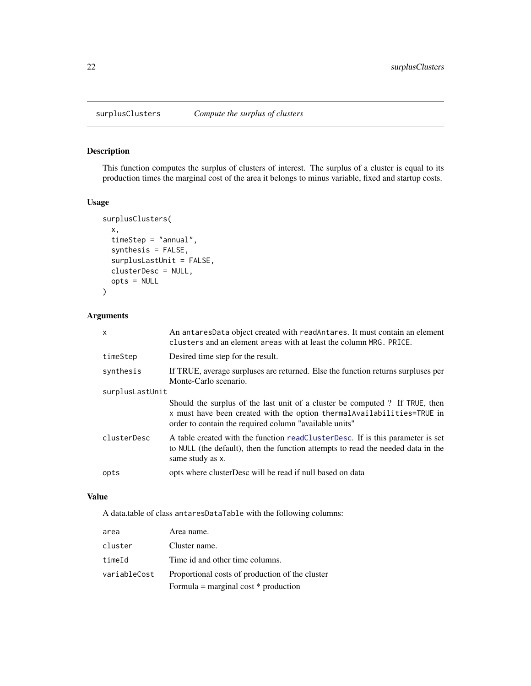<span id="page-21-1"></span><span id="page-21-0"></span>

## Description

This function computes the surplus of clusters of interest. The surplus of a cluster is equal to its production times the marginal cost of the area it belongs to minus variable, fixed and startup costs.

## Usage

```
surplusClusters(
  x,
  timeStep = "annual",
  synthesis = FALSE,
  surplusLastUnit = FALSE,
  clusterDesc = NULL,
  opts = NULL
\overline{\phantom{a}}
```
## Arguments

| $\mathsf{x}$    | An antaresData object created with readAntares. It must contain an element<br>clusters and an element areas with at least the column MRG. PRICE.                                                                 |  |
|-----------------|------------------------------------------------------------------------------------------------------------------------------------------------------------------------------------------------------------------|--|
| timeStep        | Desired time step for the result.                                                                                                                                                                                |  |
| synthesis       | If TRUE, average surpluses are returned. Else the function returns surpluses per<br>Monte-Carlo scenario.                                                                                                        |  |
| surplusLastUnit |                                                                                                                                                                                                                  |  |
|                 | Should the surplus of the last unit of a cluster be computed? If TRUE, then<br>x must have been created with the option thermal Availabilities=TRUE in<br>order to contain the required column "available units" |  |
| clusterDesc     | A table created with the function readClusterDesc. If is this parameter is set<br>to NULL (the default), then the function attempts to read the needed data in the<br>same study as x.                           |  |
| opts            | opts where clusterDesc will be read if null based on data                                                                                                                                                        |  |

#### Value

A data.table of class antaresDataTable with the following columns:

| area         | Area name.                                      |
|--------------|-------------------------------------------------|
| cluster      | Cluster name.                                   |
| timeId       | Time id and other time columns.                 |
| variableCost | Proportional costs of production of the cluster |
|              | Formula = marginal cost $*$ production          |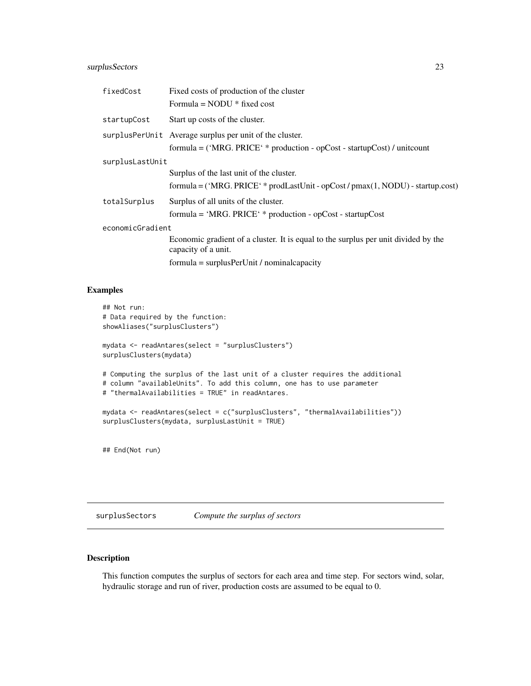## <span id="page-22-0"></span>surplusSectors 23

| fixedCost        | Fixed costs of production of the cluster                                                                  |
|------------------|-----------------------------------------------------------------------------------------------------------|
|                  | Formula = $NODU * fixed cost$                                                                             |
| startupCost      | Start up costs of the cluster.                                                                            |
|                  | surplusPerUnit Average surplus per unit of the cluster.                                                   |
|                  | $formula = ('MRG. PRICE' * production - opCost - startupCost) / unitcount$                                |
| surplusLastUnit  |                                                                                                           |
|                  | Surplus of the last unit of the cluster.                                                                  |
|                  | $formula = ('MRG, PRICE' * prodLastUnit - opCost/pmax(1, NODU) - startup.cost)$                           |
| totalSurplus     | Surplus of all units of the cluster.                                                                      |
|                  | $formula = 'MRG$ . $PRICE' * production - opCost - startupCost$                                           |
| economicGradient |                                                                                                           |
|                  | Economic gradient of a cluster. It is equal to the surplus per unit divided by the<br>capacity of a unit. |
|                  | $formula = surplusPerUnit / nominalcapacity$                                                              |

#### Examples

```
## Not run:
# Data required by the function:
showAliases("surplusClusters")
mydata <- readAntares(select = "surplusClusters")
surplusClusters(mydata)
# Computing the surplus of the last unit of a cluster requires the additional
# column "availableUnits". To add this column, one has to use parameter
# "thermalAvailabilities = TRUE" in readAntares.
mydata <- readAntares(select = c("surplusClusters", "thermalAvailabilities"))
surplusClusters(mydata, surplusLastUnit = TRUE)
```
## End(Not run)

surplusSectors *Compute the surplus of sectors*

## Description

This function computes the surplus of sectors for each area and time step. For sectors wind, solar, hydraulic storage and run of river, production costs are assumed to be equal to 0.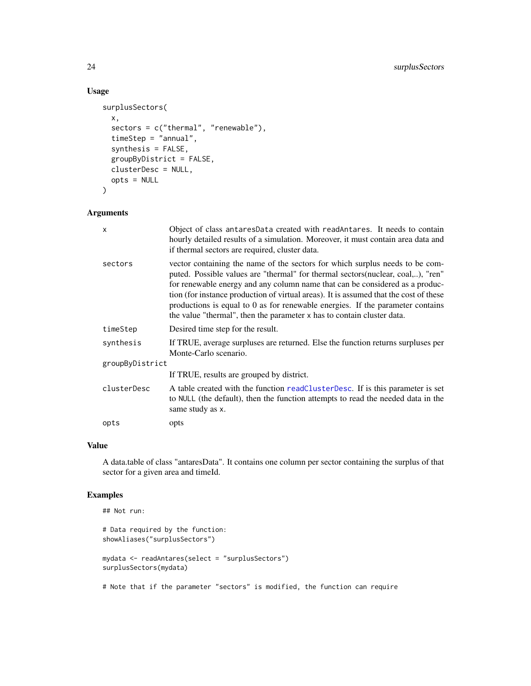## Usage

```
surplusSectors(
  x,
  sectors = c("thermal", "renewable"),
  timeStep = "annual",
  synthesis = FALSE,
  groupByDistrict = FALSE,
  clusterDesc = NULL,
 opts = NULL
)
```
## Arguments

| x               | Object of class antaresData created with readAntares. It needs to contain<br>hourly detailed results of a simulation. Moreover, it must contain area data and<br>if thermal sectors are required, cluster data.                                                                                                                                                                                                                                                                                       |
|-----------------|-------------------------------------------------------------------------------------------------------------------------------------------------------------------------------------------------------------------------------------------------------------------------------------------------------------------------------------------------------------------------------------------------------------------------------------------------------------------------------------------------------|
| sectors         | vector containing the name of the sectors for which surplus needs to be com-<br>puted. Possible values are "thermal" for thermal sectors (nuclear, coal,), "ren"<br>for renewable energy and any column name that can be considered as a produc-<br>tion (for instance production of virtual areas). It is assumed that the cost of these<br>productions is equal to 0 as for renewable energies. If the parameter contains<br>the value "thermal", then the parameter x has to contain cluster data. |
| timeStep        | Desired time step for the result.                                                                                                                                                                                                                                                                                                                                                                                                                                                                     |
| synthesis       | If TRUE, average surpluses are returned. Else the function returns surpluses per<br>Monte-Carlo scenario.                                                                                                                                                                                                                                                                                                                                                                                             |
| groupByDistrict |                                                                                                                                                                                                                                                                                                                                                                                                                                                                                                       |
|                 | If TRUE, results are grouped by district.                                                                                                                                                                                                                                                                                                                                                                                                                                                             |
| clusterDesc     | A table created with the function readClusterDesc. If is this parameter is set<br>to NULL (the default), then the function attempts to read the needed data in the<br>same study as x.                                                                                                                                                                                                                                                                                                                |
| opts            | opts                                                                                                                                                                                                                                                                                                                                                                                                                                                                                                  |

## Value

A data.table of class "antaresData". It contains one column per sector containing the surplus of that sector for a given area and timeId.

## Examples

```
## Not run:
# Data required by the function:
showAliases("surplusSectors")
mydata <- readAntares(select = "surplusSectors")
surplusSectors(mydata)
# Note that if the parameter "sectors" is modified, the function can require
```
<span id="page-23-0"></span>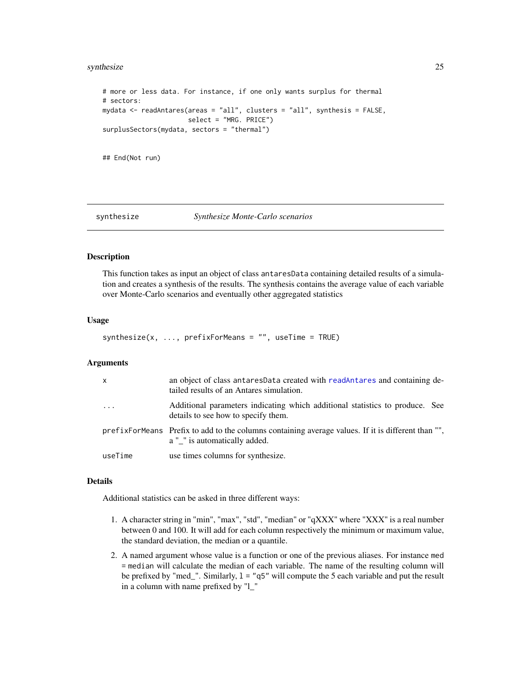#### <span id="page-24-0"></span>synthesize 25

```
# more or less data. For instance, if one only wants surplus for thermal
# sectors:
mydata <- readAntares(areas = "all", clusters = "all", synthesis = FALSE,
                      select = "MRG. PRICE")
surplusSectors(mydata, sectors = "thermal")
## End(Not run)
```
#### synthesize *Synthesize Monte-Carlo scenarios*

## **Description**

This function takes as input an object of class antaresData containing detailed results of a simulation and creates a synthesis of the results. The synthesis contains the average value of each variable over Monte-Carlo scenarios and eventually other aggregated statistics

#### Usage

```
synthesize(x, ..., prefixForMeans = "", useTime = TRUE)
```
#### Arguments

| $\mathsf{x}$ | an object of class antares Data created with readantares and containing de-<br>tailed results of an Antares simulation.       |
|--------------|-------------------------------------------------------------------------------------------------------------------------------|
| $\cdots$     | Additional parameters indicating which additional statistics to produce. See<br>details to see how to specify them.           |
|              | prefixered by Prefixered and Terminan containing average values. If it is different than "",<br>a " " is automatically added. |
| useTime      | use times columns for synthesize.                                                                                             |

#### Details

Additional statistics can be asked in three different ways:

- 1. A character string in "min", "max", "std", "median" or "qXXX" where "XXX" is a real number between 0 and 100. It will add for each column respectively the minimum or maximum value, the standard deviation, the median or a quantile.
- 2. A named argument whose value is a function or one of the previous aliases. For instance med = median will calculate the median of each variable. The name of the resulting column will be prefixed by "med\_". Similarly, l = "q5" will compute the 5 each variable and put the result in a column with name prefixed by "l\_"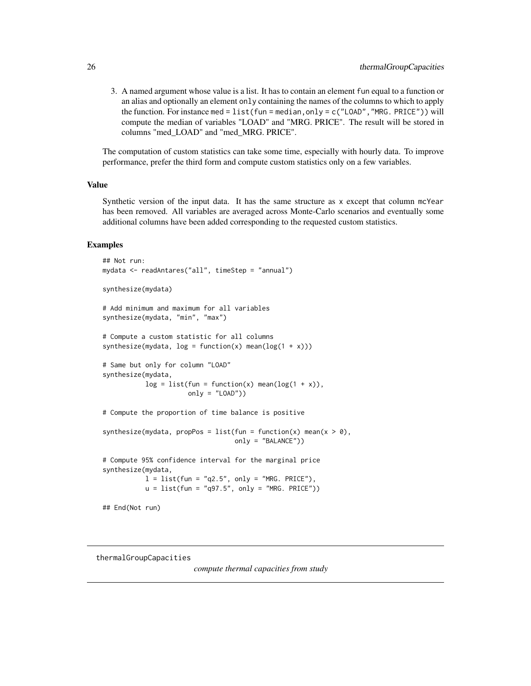<span id="page-25-0"></span>3. A named argument whose value is a list. It has to contain an element fun equal to a function or an alias and optionally an element only containing the names of the columns to which to apply the function. For instance med = list (fun = median, only =  $c$  ("LOAD", "MRG. PRICE")) will compute the median of variables "LOAD" and "MRG. PRICE". The result will be stored in columns "med\_LOAD" and "med\_MRG. PRICE".

The computation of custom statistics can take some time, especially with hourly data. To improve performance, prefer the third form and compute custom statistics only on a few variables.

#### Value

Synthetic version of the input data. It has the same structure as x except that column mcYear has been removed. All variables are averaged across Monte-Carlo scenarios and eventually some additional columns have been added corresponding to the requested custom statistics.

#### Examples

```
## Not run:
mydata <- readAntares("all", timeStep = "annual")
synthesize(mydata)
# Add minimum and maximum for all variables
synthesize(mydata, "min", "max")
# Compute a custom statistic for all columns
synthesize(mydata, log = function(x) mean(log(1 + x)))
# Same but only for column "LOAD"
synthesize(mydata,
           log = list(fun = function(x) mean(log(1 + x)),only = "LOAD")# Compute the proportion of time balance is positive
synthesize(mydata, propPos = list(fun = function(x) mean(x > 0),
                                  only = "BALANCE"))
# Compute 95% confidence interval for the marginal price
synthesize(mydata,
           l = list(fun = "q2.5", only = "MRG. PRICE"),u = list(fun = "q97.5", only = "MRG. PRICE"))## End(Not run)
```
thermalGroupCapacities

*compute thermal capacities from study*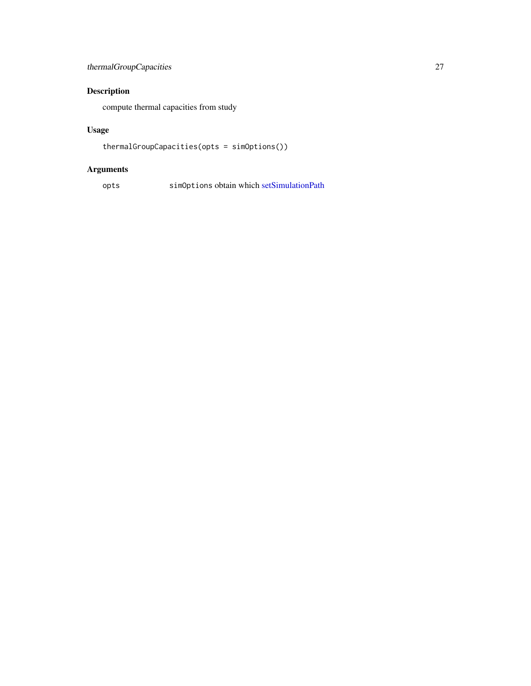## <span id="page-26-0"></span>thermalGroupCapacities 27

## Description

compute thermal capacities from study

## Usage

```
thermalGroupCapacities(opts = simOptions())
```
## Arguments

opts simOptions obtain which [setSimulationPath](#page-0-0)